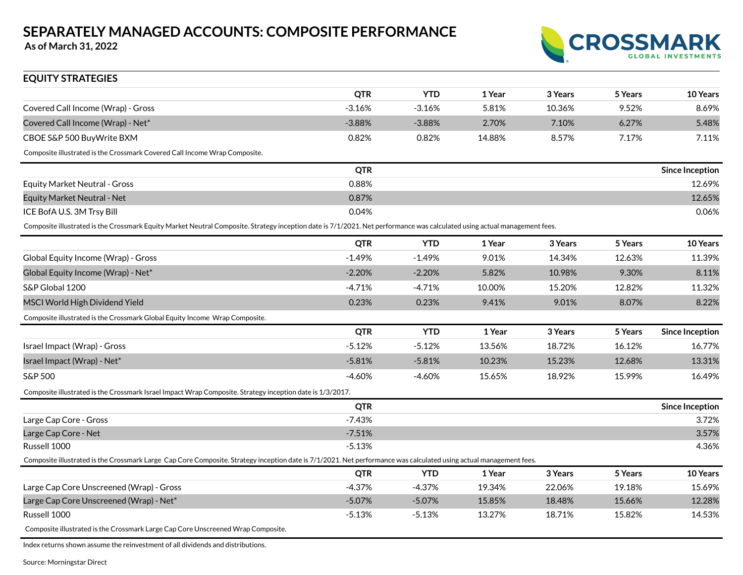**As of March 31, 2022**



| <b>EQUITY STRATEGIES</b>                                                                                                                                                  |            |            |        |         |         |                        |
|---------------------------------------------------------------------------------------------------------------------------------------------------------------------------|------------|------------|--------|---------|---------|------------------------|
|                                                                                                                                                                           | <b>QTR</b> | <b>YTD</b> | 1 Year | 3 Years | 5 Years | 10 Years               |
| Covered Call Income (Wrap) - Gross                                                                                                                                        | $-3.16%$   | $-3.16%$   | 5.81%  | 10.36%  | 9.52%   | 8.69%                  |
| Covered Call Income (Wrap) - Net*                                                                                                                                         | $-3.88%$   | $-3.88%$   | 2.70%  | 7.10%   | 6.27%   | 5.48%                  |
| CBOE S&P 500 BuyWrite BXM                                                                                                                                                 | 0.82%      | 0.82%      | 14.88% | 8.57%   | 7.17%   | 7.11%                  |
| Composite illustrated is the Crossmark Covered Call Income Wrap Composite.                                                                                                |            |            |        |         |         |                        |
|                                                                                                                                                                           | <b>QTR</b> |            |        |         |         | <b>Since Inception</b> |
| <b>Equity Market Neutral - Gross</b>                                                                                                                                      | 0.88%      |            |        |         |         | 12.69%                 |
| <b>Equity Market Neutral - Net</b>                                                                                                                                        | 0.87%      |            |        |         |         | 12.65%                 |
| ICE BofA U.S. 3M Trsy Bill                                                                                                                                                | 0.04%      |            |        |         |         | 0.06%                  |
| Composite illustrated is the Crossmark Equity Market Neutral Composite. Strategy inception date is 7/1/2021. Net performance was calculated using actual management fees. |            |            |        |         |         |                        |
|                                                                                                                                                                           | <b>QTR</b> | <b>YTD</b> | 1 Year | 3 Years | 5 Years | 10 Years               |
| Global Equity Income (Wrap) - Gross                                                                                                                                       | $-1.49%$   | $-1.49%$   | 9.01%  | 14.34%  | 12.63%  | 11.39%                 |
| Global Equity Income (Wrap) - Net*                                                                                                                                        | $-2.20%$   | $-2.20%$   | 5.82%  | 10.98%  | 9.30%   | 8.11%                  |
| S&P Global 1200                                                                                                                                                           | $-4.71%$   | $-4.71%$   | 10.00% | 15.20%  | 12.82%  | 11.32%                 |
| MSCI World High Dividend Yield                                                                                                                                            | 0.23%      | 0.23%      | 9.41%  | 9.01%   | 8.07%   | 8.22%                  |
| Composite illustrated is the Crossmark Global Equity Income Wrap Composite.                                                                                               |            |            |        |         |         |                        |
|                                                                                                                                                                           | <b>QTR</b> | <b>YTD</b> | 1 Year | 3 Years | 5 Years | <b>Since Inception</b> |
| Israel Impact (Wrap) - Gross                                                                                                                                              | $-5.12%$   | $-5.12%$   | 13.56% | 18.72%  | 16.12%  | 16.77%                 |
| Israel Impact (Wrap) - Net*                                                                                                                                               | $-5.81%$   | $-5.81%$   | 10.23% | 15.23%  | 12.68%  | 13.31%                 |
| S&P 500                                                                                                                                                                   | $-4.60%$   | $-4.60%$   | 15.65% | 18.92%  | 15.99%  | 16.49%                 |
| Composite illustrated is the Crossmark Israel Impact Wrap Composite. Strategy inception date is 1/3/2017.                                                                 |            |            |        |         |         |                        |
|                                                                                                                                                                           | <b>QTR</b> |            |        |         |         | <b>Since Inception</b> |
| Large Cap Core - Gross                                                                                                                                                    | $-7.43%$   |            |        |         |         | 3.72%                  |
| Large Cap Core - Net                                                                                                                                                      | $-7.51%$   |            |        |         |         | 3.57%                  |
| Russell 1000                                                                                                                                                              | $-5.13%$   |            |        |         |         | 4.36%                  |
| Composite illustrated is the Crossmark Large Cap Core Composite. Strategy inception date is 7/1/2021. Net performance was calculated using actual management fees.        |            |            |        |         |         |                        |
|                                                                                                                                                                           | <b>QTR</b> | <b>YTD</b> | 1 Year | 3 Years | 5 Years | 10 Years               |
| Large Cap Core Unscreened (Wrap) - Gross                                                                                                                                  | $-4.37%$   | $-4.37%$   | 19.34% | 22.06%  | 19.18%  | 15.69%                 |
| Large Cap Core Unscreened (Wrap) - Net*                                                                                                                                   | $-5.07%$   | $-5.07%$   | 15.85% | 18.48%  | 15.66%  | 12.28%                 |
| Russell 1000                                                                                                                                                              | $-5.13%$   | $-5.13%$   | 13.27% | 18.71%  | 15.82%  | 14.53%                 |
| Composite illustrated is the Crossmark Large Cap Core Unscreened Wrap Composite.                                                                                          |            |            |        |         |         |                        |

Index returns shown assume the reinvestment of all dividends and distributions.

Source: Morningstar Direct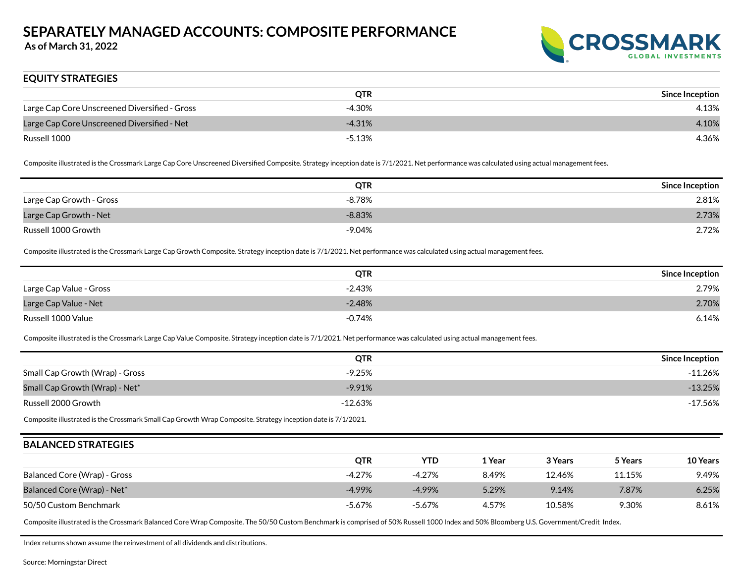**As of March 31, 2022**



### **EQUITY STRATEGIES**

|                                               | <b>QTR</b> | <b>Since Inception</b> |
|-----------------------------------------------|------------|------------------------|
| Large Cap Core Unscreened Diversified - Gross | $-4.30%$   | 4.13%                  |
| Large Cap Core Unscreened Diversified - Net   | $-4.31%$   | 4.10%                  |
| Russell 1000                                  | $-5.13%$   | 4.36%                  |

Composite illustrated is the Crossmark Large Cap Core Unscreened Diversified Composite. Strategy inception date is 7/1/2021. Net performance was calculated using actual management fees.

|                          | <b>QTR</b> | <b>Since Inception</b> |
|--------------------------|------------|------------------------|
| Large Cap Growth - Gross | $-8.78%$   | 2.81%                  |
| Large Cap Growth - Net   | $-8.83%$   | 2.73%                  |
| Russell 1000 Growth      | $-9.04%$   | 2.72%                  |

Composite illustrated is the Crossmark Large Cap Growth Composite. Strategy inception date is 7/1/2021. Net performance was calculated using actual management fees.

|                         | <b>QTR</b> | <b>Since Inception</b> |
|-------------------------|------------|------------------------|
| Large Cap Value - Gross | $-2.43%$   | 2.79%                  |
| Large Cap Value - Net   | $-2.48%$   | 2.70%                  |
| Russell 1000 Value      | $-0.74%$   | 6.14%                  |

Composite illustrated is the Crossmark Large Cap Value Composite. Strategy inception date is 7/1/2021. Net performance was calculated using actual management fees.

|                                 | <b>QTR</b> | <b>Since Inception</b> |
|---------------------------------|------------|------------------------|
| Small Cap Growth (Wrap) - Gross | $-9.25%$   | -11.26%                |
| Small Cap Growth (Wrap) - Net*  | $-9.91%$   | $-13.25%$              |
| Russell 2000 Growth             | $-12.63\%$ | $-17.56\%$             |

Composite illustrated is the Crossmark Small Cap Growth Wrap Composite. Strategy inception date is 7/1/2021.

#### **BALANCED STRATEGIES**

|                                         | QTR      | YTD       | 1 Year | 3 Years | 5 Years | <b>10 Years</b> |
|-----------------------------------------|----------|-----------|--------|---------|---------|-----------------|
| Balanced Core (Wrap) - Gross            | $-4.27%$ | -4.27%    | 8.49%  | 12.46%  | 11.15%  | 9.49%           |
| Balanced Core (Wrap) - Net <sup>*</sup> | $-4.99%$ | $-4.99\%$ | 5.29%  | 9.14%   | 7.87%   | 6.25%           |
| 50/50 Custom Benchmark                  | $-5.67%$ | -5.67%    | 4.57%  | 10.58%  | 9.30%   | 8.61%           |

Composite illustrated is the Crossmark Balanced Core Wrap Composite. The 50/50 Custom Benchmark is comprised of 50% Russell 1000 Index and 50% Bloomberg U.S. Government/Credit Index.

Index returns shown assume the reinvestment of all dividends and distributions.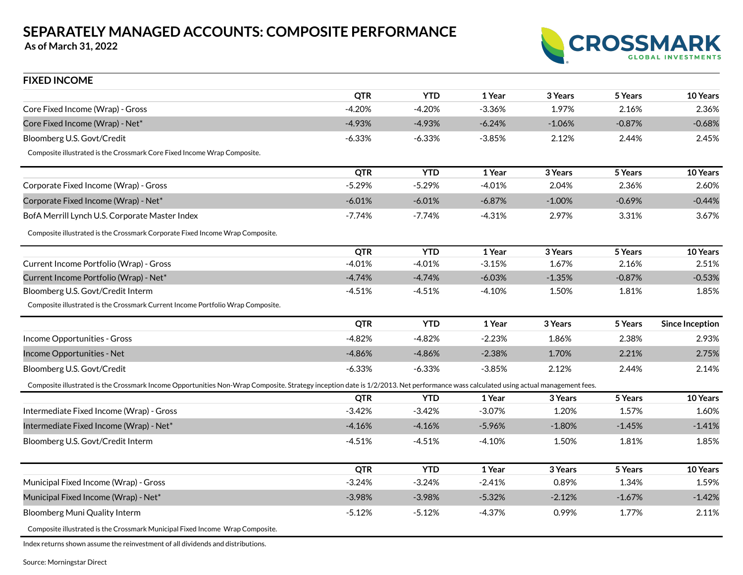**As of March 31, 2022**



| <b>FIXED INCOME</b>                                                                                                                                                                |            |            |          |          |          |                        |
|------------------------------------------------------------------------------------------------------------------------------------------------------------------------------------|------------|------------|----------|----------|----------|------------------------|
|                                                                                                                                                                                    | <b>QTR</b> | <b>YTD</b> | 1 Year   | 3 Years  | 5 Years  | 10 Years               |
| Core Fixed Income (Wrap) - Gross                                                                                                                                                   | $-4.20%$   | $-4.20%$   | $-3.36%$ | 1.97%    | 2.16%    | 2.36%                  |
| Core Fixed Income (Wrap) - Net*                                                                                                                                                    | $-4.93%$   | $-4.93%$   | $-6.24%$ | $-1.06%$ | $-0.87%$ | $-0.68%$               |
| Bloomberg U.S. Govt/Credit                                                                                                                                                         | $-6.33%$   | $-6.33%$   | $-3.85%$ | 2.12%    | 2.44%    | 2.45%                  |
| Composite illustrated is the Crossmark Core Fixed Income Wrap Composite.                                                                                                           |            |            |          |          |          |                        |
|                                                                                                                                                                                    | <b>QTR</b> | <b>YTD</b> | 1 Year   | 3 Years  | 5 Years  | 10 Years               |
| Corporate Fixed Income (Wrap) - Gross                                                                                                                                              | $-5.29%$   | $-5.29%$   | $-4.01%$ | 2.04%    | 2.36%    | 2.60%                  |
| Corporate Fixed Income (Wrap) - Net*                                                                                                                                               | $-6.01%$   | $-6.01%$   | $-6.87%$ | $-1.00%$ | $-0.69%$ | $-0.44%$               |
| BofA Merrill Lynch U.S. Corporate Master Index                                                                                                                                     | -7.74%     | -7.74%     | $-4.31%$ | 2.97%    | 3.31%    | 3.67%                  |
| Composite illustrated is the Crossmark Corporate Fixed Income Wrap Composite.                                                                                                      |            |            |          |          |          |                        |
|                                                                                                                                                                                    | <b>QTR</b> | <b>YTD</b> | 1 Year   | 3 Years  | 5 Years  | 10 Years               |
| Current Income Portfolio (Wrap) - Gross                                                                                                                                            | $-4.01%$   | $-4.01%$   | $-3.15%$ | 1.67%    | 2.16%    | 2.51%                  |
| Current Income Portfolio (Wrap) - Net*                                                                                                                                             | $-4.74%$   | $-4.74%$   | $-6.03%$ | $-1.35%$ | $-0.87%$ | $-0.53%$               |
| Bloomberg U.S. Govt/Credit Interm                                                                                                                                                  | $-4.51%$   | $-4.51%$   | $-4.10%$ | 1.50%    | 1.81%    | 1.85%                  |
| Composite illustrated is the Crossmark Current Income Portfolio Wrap Composite.                                                                                                    |            |            |          |          |          |                        |
|                                                                                                                                                                                    | <b>QTR</b> | <b>YTD</b> | 1 Year   | 3 Years  | 5 Years  | <b>Since Inception</b> |
| Income Opportunities - Gross                                                                                                                                                       | $-4.82%$   | $-4.82%$   | $-2.23%$ | 1.86%    | 2.38%    | 2.93%                  |
| Income Opportunities - Net                                                                                                                                                         | $-4.86%$   | $-4.86%$   | $-2.38%$ | 1.70%    | 2.21%    | 2.75%                  |
| Bloomberg U.S. Govt/Credit                                                                                                                                                         | $-6.33%$   | $-6.33%$   | $-3.85%$ | 2.12%    | 2.44%    | 2.14%                  |
| Composite illustrated is the Crossmark Income Opportunities Non-Wrap Composite. Strategy inception date is 1/2/2013. Net performance wass calculated using actual management fees. |            |            |          |          |          |                        |
|                                                                                                                                                                                    | <b>QTR</b> | <b>YTD</b> | 1 Year   | 3 Years  | 5 Years  | 10 Years               |
| Intermediate Fixed Income (Wrap) - Gross                                                                                                                                           | $-3.42%$   | $-3.42%$   | $-3.07%$ | 1.20%    | 1.57%    | 1.60%                  |
| Intermediate Fixed Income (Wrap) - Net*                                                                                                                                            | $-4.16%$   | $-4.16%$   | $-5.96%$ | $-1.80%$ | $-1.45%$ | $-1.41%$               |
| Bloomberg U.S. Govt/Credit Interm                                                                                                                                                  | $-4.51%$   | -4.51%     | $-4.10%$ | 1.50%    | 1.81%    | 1.85%                  |
|                                                                                                                                                                                    | <b>QTR</b> | <b>YTD</b> | 1 Year   | 3 Years  | 5 Years  | 10 Years               |
| Municipal Fixed Income (Wrap) - Gross                                                                                                                                              | $-3.24%$   | $-3.24%$   | $-2.41%$ | 0.89%    | 1.34%    | 1.59%                  |
| Municipal Fixed Income (Wrap) - Net*                                                                                                                                               | $-3.98%$   | $-3.98%$   | $-5.32%$ | $-2.12%$ | $-1.67%$ | $-1.42%$               |
| Bloomberg Muni Quality Interm                                                                                                                                                      | $-5.12%$   | $-5.12%$   | -4.37%   | 0.99%    | 1.77%    | 2.11%                  |
| Composite illustrated is the Crossmark Municipal Fixed Income Wrap Composite.                                                                                                      |            |            |          |          |          |                        |

Index returns shown assume the reinvestment of all dividends and distributions.